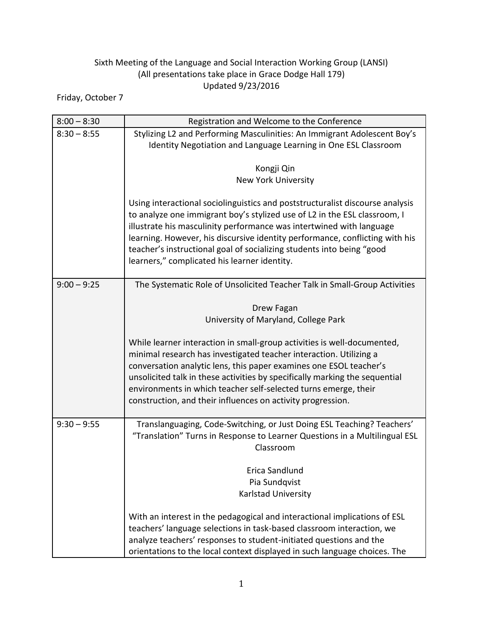## Sixth Meeting of the Language and Social Interaction Working Group (LANSI) (All presentations take place in Grace Dodge Hall 179) Updated 9/23/2016

Friday, October 7

| $8:00 - 8:30$ | Registration and Welcome to the Conference                                                                                                                                                                                                                                                                                                                                                                                                  |
|---------------|---------------------------------------------------------------------------------------------------------------------------------------------------------------------------------------------------------------------------------------------------------------------------------------------------------------------------------------------------------------------------------------------------------------------------------------------|
| $8:30 - 8:55$ | Stylizing L2 and Performing Masculinities: An Immigrant Adolescent Boy's                                                                                                                                                                                                                                                                                                                                                                    |
|               | Identity Negotiation and Language Learning in One ESL Classroom                                                                                                                                                                                                                                                                                                                                                                             |
|               | Kongji Qin                                                                                                                                                                                                                                                                                                                                                                                                                                  |
|               | <b>New York University</b>                                                                                                                                                                                                                                                                                                                                                                                                                  |
|               | Using interactional sociolinguistics and poststructuralist discourse analysis<br>to analyze one immigrant boy's stylized use of L2 in the ESL classroom, I<br>illustrate his masculinity performance was intertwined with language<br>learning. However, his discursive identity performance, conflicting with his<br>teacher's instructional goal of socializing students into being "good<br>learners," complicated his learner identity. |
| $9:00 - 9:25$ | The Systematic Role of Unsolicited Teacher Talk in Small-Group Activities                                                                                                                                                                                                                                                                                                                                                                   |
|               | Drew Fagan<br>University of Maryland, College Park                                                                                                                                                                                                                                                                                                                                                                                          |
|               | While learner interaction in small-group activities is well-documented,<br>minimal research has investigated teacher interaction. Utilizing a<br>conversation analytic lens, this paper examines one ESOL teacher's<br>unsolicited talk in these activities by specifically marking the sequential<br>environments in which teacher self-selected turns emerge, their<br>construction, and their influences on activity progression.        |
| $9:30 - 9:55$ | Translanguaging, Code-Switching, or Just Doing ESL Teaching? Teachers'<br>"Translation" Turns in Response to Learner Questions in a Multilingual ESL<br>Classroom                                                                                                                                                                                                                                                                           |
|               | Erica Sandlund                                                                                                                                                                                                                                                                                                                                                                                                                              |
|               | Pia Sundqvist                                                                                                                                                                                                                                                                                                                                                                                                                               |
|               | Karlstad University                                                                                                                                                                                                                                                                                                                                                                                                                         |
|               | With an interest in the pedagogical and interactional implications of ESL<br>teachers' language selections in task-based classroom interaction, we<br>analyze teachers' responses to student-initiated questions and the<br>orientations to the local context displayed in such language choices. The                                                                                                                                       |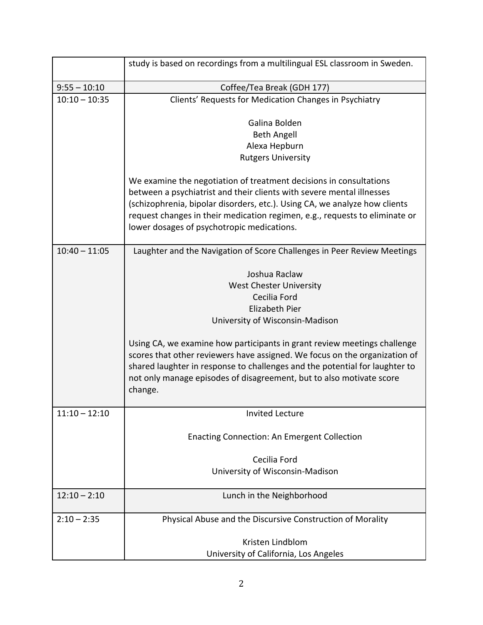|                 | study is based on recordings from a multilingual ESL classroom in Sweden.                                                 |
|-----------------|---------------------------------------------------------------------------------------------------------------------------|
| $9:55 - 10:10$  | Coffee/Tea Break (GDH 177)                                                                                                |
| $10:10 - 10:35$ | Clients' Requests for Medication Changes in Psychiatry                                                                    |
|                 | Galina Bolden                                                                                                             |
|                 | <b>Beth Angell</b>                                                                                                        |
|                 | Alexa Hepburn                                                                                                             |
|                 | <b>Rutgers University</b>                                                                                                 |
|                 | We examine the negotiation of treatment decisions in consultations                                                        |
|                 | between a psychiatrist and their clients with severe mental illnesses                                                     |
|                 | (schizophrenia, bipolar disorders, etc.). Using CA, we analyze how clients                                                |
|                 | request changes in their medication regimen, e.g., requests to eliminate or<br>lower dosages of psychotropic medications. |
| $10:40 - 11:05$ | Laughter and the Navigation of Score Challenges in Peer Review Meetings                                                   |
|                 | Joshua Raclaw                                                                                                             |
|                 | <b>West Chester University</b>                                                                                            |
|                 | Cecilia Ford                                                                                                              |
|                 | Elizabeth Pier                                                                                                            |
|                 | University of Wisconsin-Madison                                                                                           |
|                 | Using CA, we examine how participants in grant review meetings challenge                                                  |
|                 | scores that other reviewers have assigned. We focus on the organization of                                                |
|                 | shared laughter in response to challenges and the potential for laughter to                                               |
|                 | not only manage episodes of disagreement, but to also motivate score                                                      |
|                 | change.                                                                                                                   |
| $11:10 - 12:10$ | <b>Invited Lecture</b>                                                                                                    |
|                 | <b>Enacting Connection: An Emergent Collection</b>                                                                        |
|                 | Cecilia Ford                                                                                                              |
|                 | University of Wisconsin-Madison                                                                                           |
|                 |                                                                                                                           |
| $12:10 - 2:10$  | Lunch in the Neighborhood                                                                                                 |
| $2:10 - 2:35$   | Physical Abuse and the Discursive Construction of Morality                                                                |
|                 | Kristen Lindblom                                                                                                          |
|                 | University of California, Los Angeles                                                                                     |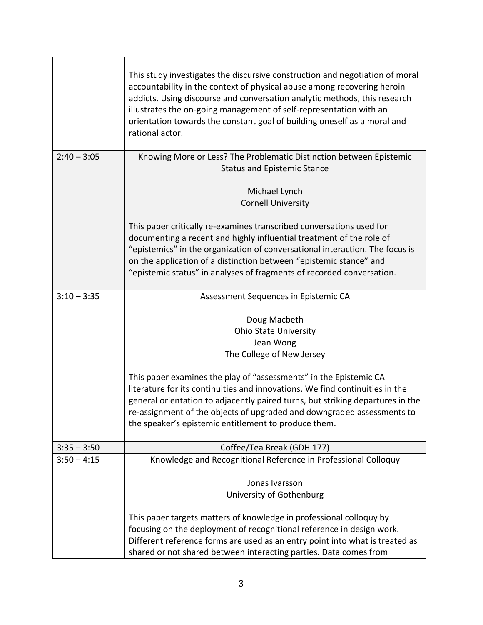|               | This study investigates the discursive construction and negotiation of moral<br>accountability in the context of physical abuse among recovering heroin<br>addicts. Using discourse and conversation analytic methods, this research<br>illustrates the on-going management of self-representation with an<br>orientation towards the constant goal of building oneself as a moral and<br>rational actor. |
|---------------|-----------------------------------------------------------------------------------------------------------------------------------------------------------------------------------------------------------------------------------------------------------------------------------------------------------------------------------------------------------------------------------------------------------|
| $2:40 - 3:05$ | Knowing More or Less? The Problematic Distinction between Epistemic                                                                                                                                                                                                                                                                                                                                       |
|               | <b>Status and Epistemic Stance</b>                                                                                                                                                                                                                                                                                                                                                                        |
|               | Michael Lynch                                                                                                                                                                                                                                                                                                                                                                                             |
|               | <b>Cornell University</b>                                                                                                                                                                                                                                                                                                                                                                                 |
|               | This paper critically re-examines transcribed conversations used for<br>documenting a recent and highly influential treatment of the role of<br>"epistemics" in the organization of conversational interaction. The focus is<br>on the application of a distinction between "epistemic stance" and<br>"epistemic status" in analyses of fragments of recorded conversation.                               |
| $3:10 - 3:35$ | Assessment Sequences in Epistemic CA                                                                                                                                                                                                                                                                                                                                                                      |
|               | Doug Macbeth<br><b>Ohio State University</b><br>Jean Wong<br>The College of New Jersey                                                                                                                                                                                                                                                                                                                    |
|               | This paper examines the play of "assessments" in the Epistemic CA<br>literature for its continuities and innovations. We find continuities in the<br>general orientation to adjacently paired turns, but striking departures in the<br>re-assignment of the objects of upgraded and downgraded assessments to<br>the speaker's epistemic entitlement to produce them.                                     |
| $3:35 - 3:50$ | Coffee/Tea Break (GDH 177)                                                                                                                                                                                                                                                                                                                                                                                |
| $3:50 - 4:15$ | Knowledge and Recognitional Reference in Professional Colloquy                                                                                                                                                                                                                                                                                                                                            |
|               | Jonas Ivarsson                                                                                                                                                                                                                                                                                                                                                                                            |
|               | University of Gothenburg                                                                                                                                                                                                                                                                                                                                                                                  |
|               | This paper targets matters of knowledge in professional colloquy by<br>focusing on the deployment of recognitional reference in design work.<br>Different reference forms are used as an entry point into what is treated as<br>shared or not shared between interacting parties. Data comes from                                                                                                         |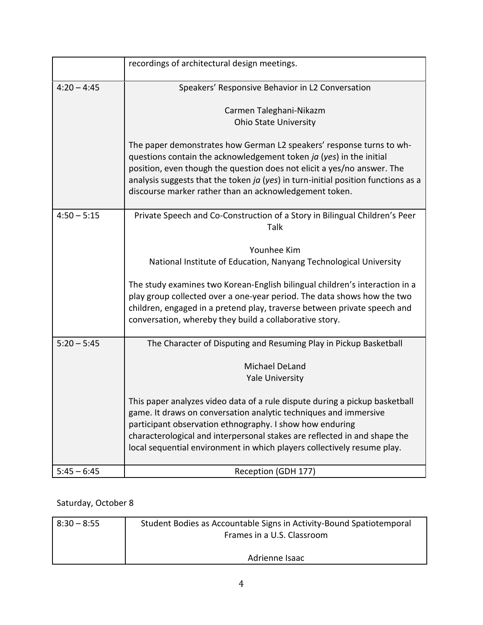|               | recordings of architectural design meetings.                                                                                                                                                                                                                                                                                                                                                                                                                                         |
|---------------|--------------------------------------------------------------------------------------------------------------------------------------------------------------------------------------------------------------------------------------------------------------------------------------------------------------------------------------------------------------------------------------------------------------------------------------------------------------------------------------|
| $4:20 - 4:45$ | Speakers' Responsive Behavior in L2 Conversation                                                                                                                                                                                                                                                                                                                                                                                                                                     |
|               | Carmen Taleghani-Nikazm<br><b>Ohio State University</b>                                                                                                                                                                                                                                                                                                                                                                                                                              |
|               | The paper demonstrates how German L2 speakers' response turns to wh-<br>questions contain the acknowledgement token ja (yes) in the initial<br>position, even though the question does not elicit a yes/no answer. The<br>analysis suggests that the token ja (yes) in turn-initial position functions as a<br>discourse marker rather than an acknowledgement token.                                                                                                                |
| $4:50 - 5:15$ | Private Speech and Co-Construction of a Story in Bilingual Children's Peer<br>Talk                                                                                                                                                                                                                                                                                                                                                                                                   |
|               | Younhee Kim<br>National Institute of Education, Nanyang Technological University<br>The study examines two Korean-English bilingual children's interaction in a<br>play group collected over a one-year period. The data shows how the two<br>children, engaged in a pretend play, traverse between private speech and<br>conversation, whereby they build a collaborative story.                                                                                                    |
| $5:20 - 5:45$ | The Character of Disputing and Resuming Play in Pickup Basketball<br>Michael DeLand<br><b>Yale University</b><br>This paper analyzes video data of a rule dispute during a pickup basketball<br>game. It draws on conversation analytic techniques and immersive<br>participant observation ethnography. I show how enduring<br>characterological and interpersonal stakes are reflected in and shape the<br>local sequential environment in which players collectively resume play. |
| $5:45 - 6:45$ | Reception (GDH 177)                                                                                                                                                                                                                                                                                                                                                                                                                                                                  |

## Saturday, October 8

| $8:30 - 8:55$ | Student Bodies as Accountable Signs in Activity-Bound Spatiotemporal |
|---------------|----------------------------------------------------------------------|
|               | Frames in a U.S. Classroom                                           |
|               |                                                                      |
|               | Adrienne Isaac                                                       |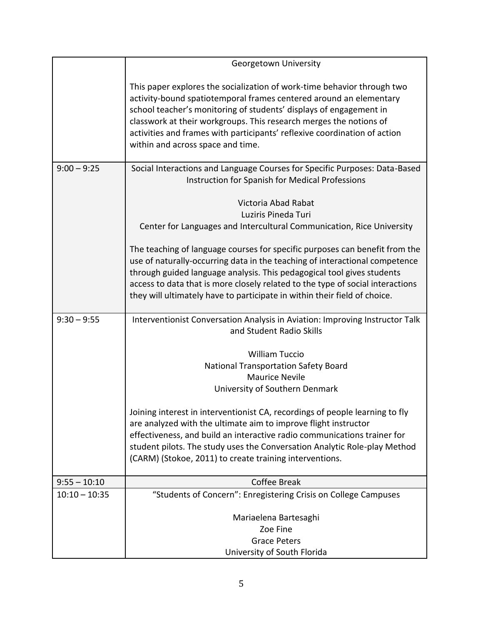|                 | Georgetown University                                                                                                                                                                                                                                                                                                                                                                                       |
|-----------------|-------------------------------------------------------------------------------------------------------------------------------------------------------------------------------------------------------------------------------------------------------------------------------------------------------------------------------------------------------------------------------------------------------------|
|                 | This paper explores the socialization of work-time behavior through two<br>activity-bound spatiotemporal frames centered around an elementary<br>school teacher's monitoring of students' displays of engagement in<br>classwork at their workgroups. This research merges the notions of<br>activities and frames with participants' reflexive coordination of action<br>within and across space and time. |
| $9:00 - 9:25$   | Social Interactions and Language Courses for Specific Purposes: Data-Based<br>Instruction for Spanish for Medical Professions                                                                                                                                                                                                                                                                               |
|                 | Victoria Abad Rabat<br>Luziris Pineda Turi<br>Center for Languages and Intercultural Communication, Rice University                                                                                                                                                                                                                                                                                         |
|                 | The teaching of language courses for specific purposes can benefit from the<br>use of naturally-occurring data in the teaching of interactional competence<br>through guided language analysis. This pedagogical tool gives students<br>access to data that is more closely related to the type of social interactions<br>they will ultimately have to participate in within their field of choice.         |
| $9:30 - 9:55$   | Interventionist Conversation Analysis in Aviation: Improving Instructor Talk<br>and Student Radio Skills                                                                                                                                                                                                                                                                                                    |
|                 | <b>William Tuccio</b>                                                                                                                                                                                                                                                                                                                                                                                       |
|                 | <b>National Transportation Safety Board</b>                                                                                                                                                                                                                                                                                                                                                                 |
|                 | <b>Maurice Nevile</b>                                                                                                                                                                                                                                                                                                                                                                                       |
|                 | University of Southern Denmark                                                                                                                                                                                                                                                                                                                                                                              |
|                 | Joining interest in interventionist CA, recordings of people learning to fly<br>are analyzed with the ultimate aim to improve flight instructor<br>effectiveness, and build an interactive radio communications trainer for<br>student pilots. The study uses the Conversation Analytic Role-play Method<br>(CARM) (Stokoe, 2011) to create training interventions.                                         |
| $9:55 - 10:10$  | <b>Coffee Break</b>                                                                                                                                                                                                                                                                                                                                                                                         |
| $10:10 - 10:35$ | "Students of Concern": Enregistering Crisis on College Campuses                                                                                                                                                                                                                                                                                                                                             |
|                 |                                                                                                                                                                                                                                                                                                                                                                                                             |
|                 | Mariaelena Bartesaghi                                                                                                                                                                                                                                                                                                                                                                                       |
|                 | Zoe Fine                                                                                                                                                                                                                                                                                                                                                                                                    |
|                 | <b>Grace Peters</b>                                                                                                                                                                                                                                                                                                                                                                                         |
|                 | University of South Florida                                                                                                                                                                                                                                                                                                                                                                                 |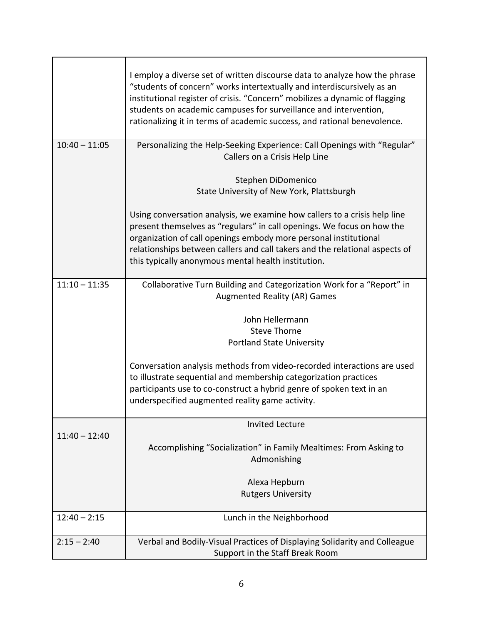|                 | I employ a diverse set of written discourse data to analyze how the phrase<br>"students of concern" works intertextually and interdiscursively as an<br>institutional register of crisis. "Concern" mobilizes a dynamic of flagging<br>students on academic campuses for surveillance and intervention,<br>rationalizing it in terms of academic success, and rational benevolence. |
|-----------------|-------------------------------------------------------------------------------------------------------------------------------------------------------------------------------------------------------------------------------------------------------------------------------------------------------------------------------------------------------------------------------------|
| $10:40 - 11:05$ | Personalizing the Help-Seeking Experience: Call Openings with "Regular"<br>Callers on a Crisis Help Line                                                                                                                                                                                                                                                                            |
|                 | Stephen DiDomenico<br>State University of New York, Plattsburgh                                                                                                                                                                                                                                                                                                                     |
|                 | Using conversation analysis, we examine how callers to a crisis help line<br>present themselves as "regulars" in call openings. We focus on how the<br>organization of call openings embody more personal institutional<br>relationships between callers and call takers and the relational aspects of<br>this typically anonymous mental health institution.                       |
| $11:10 - 11:35$ | Collaborative Turn Building and Categorization Work for a "Report" in<br>Augmented Reality (AR) Games                                                                                                                                                                                                                                                                               |
|                 | John Hellermann                                                                                                                                                                                                                                                                                                                                                                     |
|                 | <b>Steve Thorne</b>                                                                                                                                                                                                                                                                                                                                                                 |
|                 | <b>Portland State University</b>                                                                                                                                                                                                                                                                                                                                                    |
|                 | Conversation analysis methods from video-recorded interactions are used<br>to illustrate sequential and membership categorization practices<br>participants use to co-construct a hybrid genre of spoken text in an<br>underspecified augmented reality game activity.                                                                                                              |
|                 | <b>Invited Lecture</b>                                                                                                                                                                                                                                                                                                                                                              |
| $11:40 - 12:40$ | Accomplishing "Socialization" in Family Mealtimes: From Asking to<br>Admonishing                                                                                                                                                                                                                                                                                                    |
|                 | Alexa Hepburn                                                                                                                                                                                                                                                                                                                                                                       |
|                 | <b>Rutgers University</b>                                                                                                                                                                                                                                                                                                                                                           |
| $12:40 - 2:15$  | Lunch in the Neighborhood                                                                                                                                                                                                                                                                                                                                                           |
| $2:15 - 2:40$   | Verbal and Bodily-Visual Practices of Displaying Solidarity and Colleague<br>Support in the Staff Break Room                                                                                                                                                                                                                                                                        |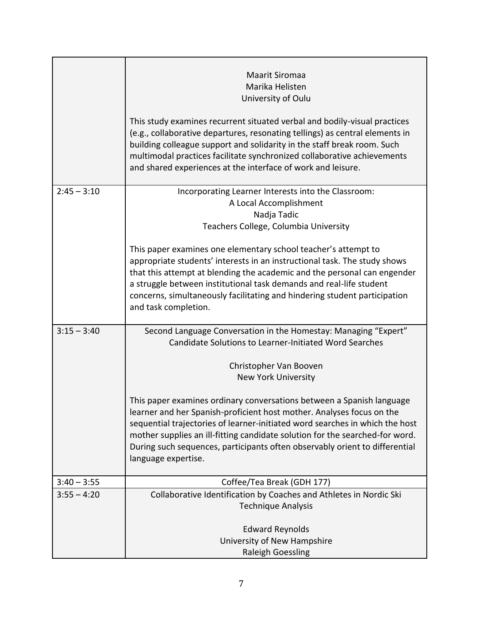|               | Maarit Siromaa                                                                                                                                                                                                                                                                                                                                                                  |
|---------------|---------------------------------------------------------------------------------------------------------------------------------------------------------------------------------------------------------------------------------------------------------------------------------------------------------------------------------------------------------------------------------|
|               | Marika Helisten                                                                                                                                                                                                                                                                                                                                                                 |
|               | University of Oulu                                                                                                                                                                                                                                                                                                                                                              |
|               | This study examines recurrent situated verbal and bodily-visual practices<br>(e.g., collaborative departures, resonating tellings) as central elements in<br>building colleague support and solidarity in the staff break room. Such<br>multimodal practices facilitate synchronized collaborative achievements<br>and shared experiences at the interface of work and leisure. |
| $2:45 - 3:10$ | Incorporating Learner Interests into the Classroom:                                                                                                                                                                                                                                                                                                                             |
|               | A Local Accomplishment                                                                                                                                                                                                                                                                                                                                                          |
|               | Nadja Tadic                                                                                                                                                                                                                                                                                                                                                                     |
|               | Teachers College, Columbia University                                                                                                                                                                                                                                                                                                                                           |
|               | This paper examines one elementary school teacher's attempt to<br>appropriate students' interests in an instructional task. The study shows                                                                                                                                                                                                                                     |
|               | that this attempt at blending the academic and the personal can engender                                                                                                                                                                                                                                                                                                        |
|               | a struggle between institutional task demands and real-life student                                                                                                                                                                                                                                                                                                             |
|               | concerns, simultaneously facilitating and hindering student participation                                                                                                                                                                                                                                                                                                       |
|               | and task completion.                                                                                                                                                                                                                                                                                                                                                            |
| $3:15 - 3:40$ | Second Language Conversation in the Homestay: Managing "Expert"                                                                                                                                                                                                                                                                                                                 |
|               | Candidate Solutions to Learner-Initiated Word Searches                                                                                                                                                                                                                                                                                                                          |
|               | Christopher Van Booven                                                                                                                                                                                                                                                                                                                                                          |
|               | <b>New York University</b>                                                                                                                                                                                                                                                                                                                                                      |
|               |                                                                                                                                                                                                                                                                                                                                                                                 |
|               | This paper examines ordinary conversations between a Spanish language                                                                                                                                                                                                                                                                                                           |
|               | learner and her Spanish-proficient host mother. Analyses focus on the                                                                                                                                                                                                                                                                                                           |
|               | sequential trajectories of learner-initiated word searches in which the host                                                                                                                                                                                                                                                                                                    |
|               | mother supplies an ill-fitting candidate solution for the searched-for word.                                                                                                                                                                                                                                                                                                    |
|               | During such sequences, participants often observably orient to differential                                                                                                                                                                                                                                                                                                     |
|               | language expertise.                                                                                                                                                                                                                                                                                                                                                             |
| $3:40 - 3:55$ | Coffee/Tea Break (GDH 177)                                                                                                                                                                                                                                                                                                                                                      |
| $3:55 - 4:20$ | Collaborative Identification by Coaches and Athletes in Nordic Ski                                                                                                                                                                                                                                                                                                              |
|               | <b>Technique Analysis</b>                                                                                                                                                                                                                                                                                                                                                       |
|               | <b>Edward Reynolds</b>                                                                                                                                                                                                                                                                                                                                                          |
|               | University of New Hampshire                                                                                                                                                                                                                                                                                                                                                     |
|               | <b>Raleigh Goessling</b>                                                                                                                                                                                                                                                                                                                                                        |